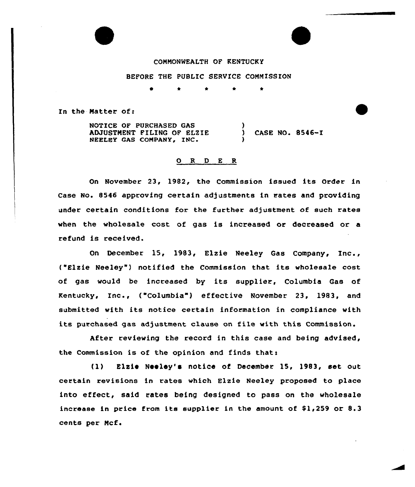## COMMONWEALTH OF KENTUCKY

## BEFORE THE PUBLIC SERVICE COMMISSION

0 \* \* \*

In the Matter of:

NOTICE OF PURCHASED GAS ADJUSTMENT FILING OF ELZIE NEELEY GAS COMPANY, INC. ) ) CASE NO. 8546-I )

## O R D E R

On November 23, 1982, the Commission issued its Order in Case No. 8546 approving certain adjustments in rates and providing under certain conditions for the further adjustment of such rates when the wholesale cost. of gas is increased or decreased or a refund is received.

On December 15, 1983, Elzie Neeley Gas Company, Inc., ( Elzie Neeley") notified the Commission that its wholesale cost of gas would be increased by its supplier, Columbia Gas of Kentucky, Inc., ("Columbia") effective November 23, 1983, and submitted with its notice certain information in compliance with its purchased gas adjustment clause on file with this Commission.

After reviewing the record in this case and being advised, the Commission is of the opinion and finds that:

(1) Elzie Neeley's notice of December 15, 1983, set out certain revisions in rates which Elzie Neeley proposed to place into effect, said rates being designed to pass on the wholesale increase in price from its supplier in the amount of  $$1,259$  or  $8.3$ cents per Mcf.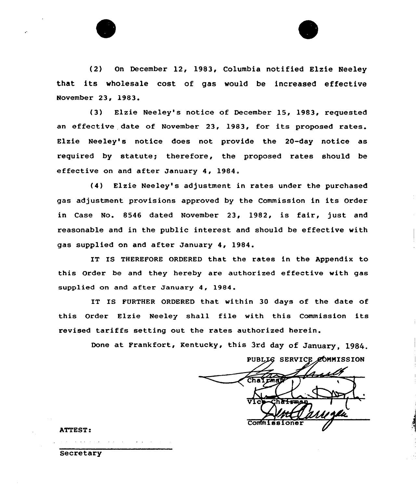

(3) Elzie Neeley's notice of December 15, 1983, requested an effective date of November 23, 1983, for its proposed rates. Elzie Neeley's notice does not provide the 20-day notice as required by statute; therefore, the proposed rates should be effective on and after January 4, 1984.

(4) Elzie Neeley's adjustment in rates under the purchased gas adjustment provisions approved by the Commission in its Order in Case No. 8546 dated November 23, 1982, is fair, just and reasonable and in the public interest and should be effective with gas supplied on and after January 4, 1984.

IT IS THEREFORE ORDERED that the rates in the Appendix to this Order be and they hereby are authorized effective with gas supplied on and after January 4, 1984.

IT IS FURTHER ORDERED that within 30 days of the date of this Order Elzie Neeley shall file with this Commission its revised tariffs setting out the rates authorized herein.

Done at Frankfort, Kentucky, this 3rd day of January, 1984

PUBLIG SERVICE COMMISSION Comm

ATTEST:

Secretary